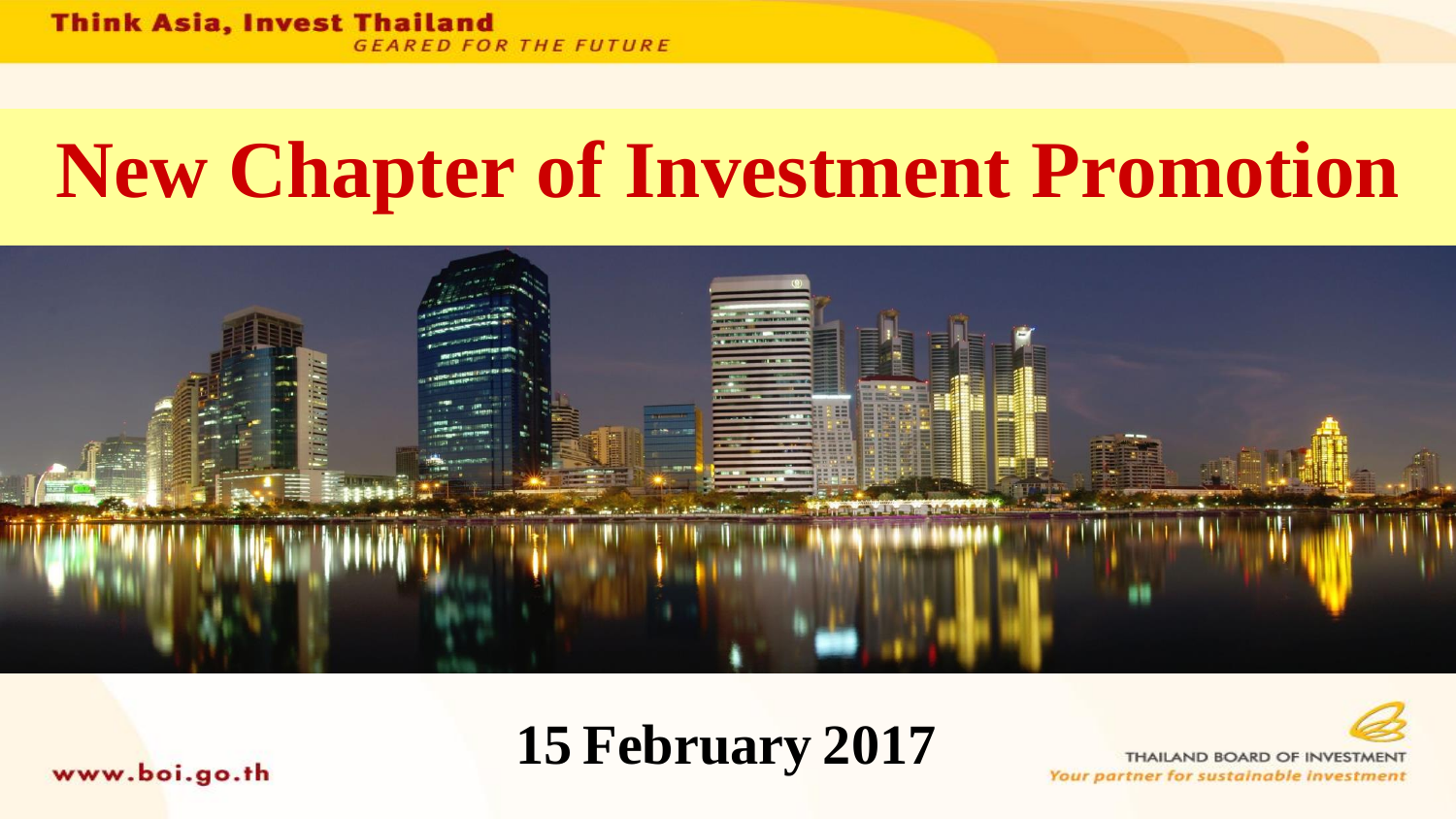# **New Chapter of Investment Promotion**





THAILAND BOARD OF INVESTMENT Your partner for sustainable investment

www.boi.go.th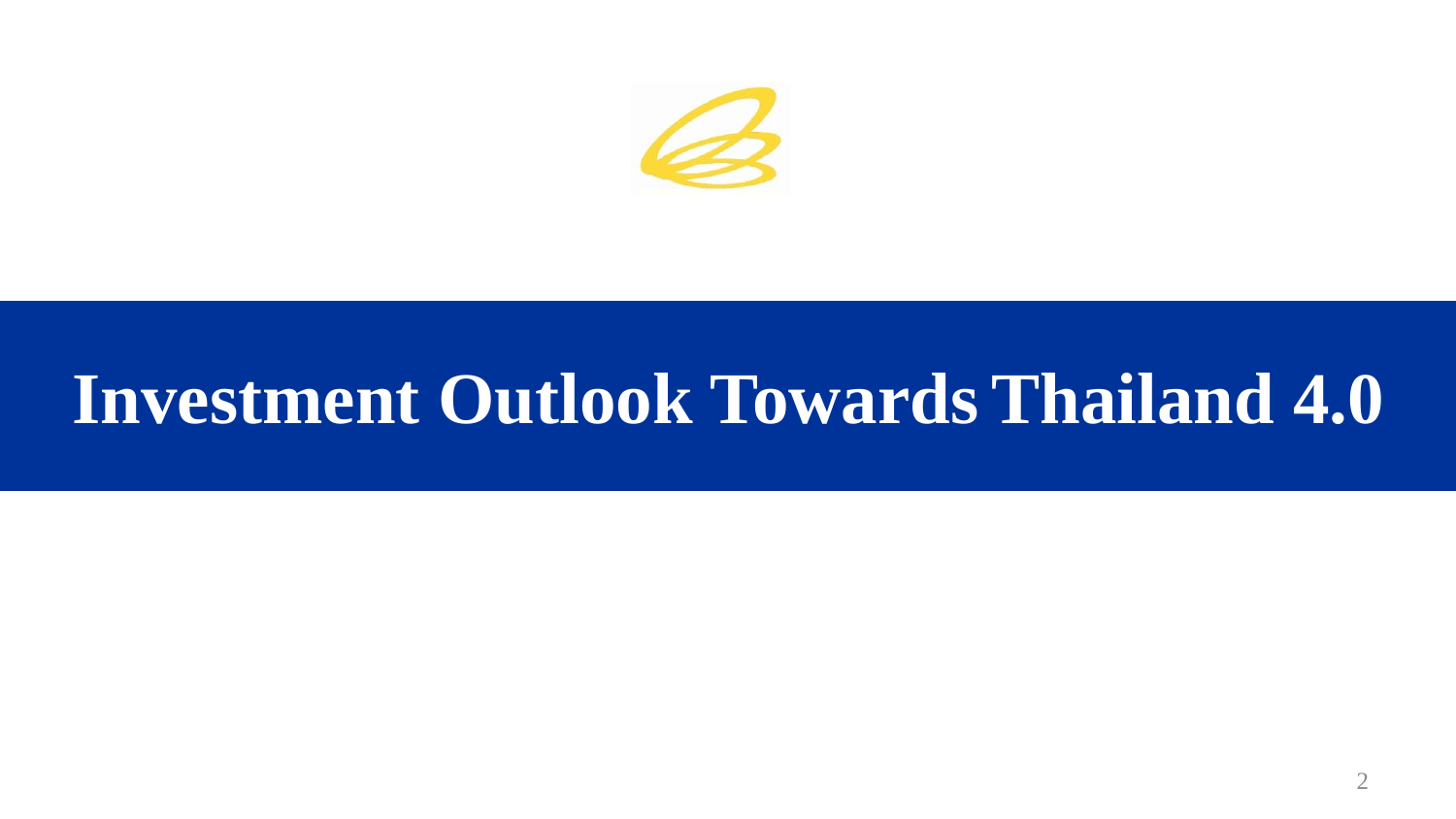

# **Investment Outlook Towards Thailand 4.0**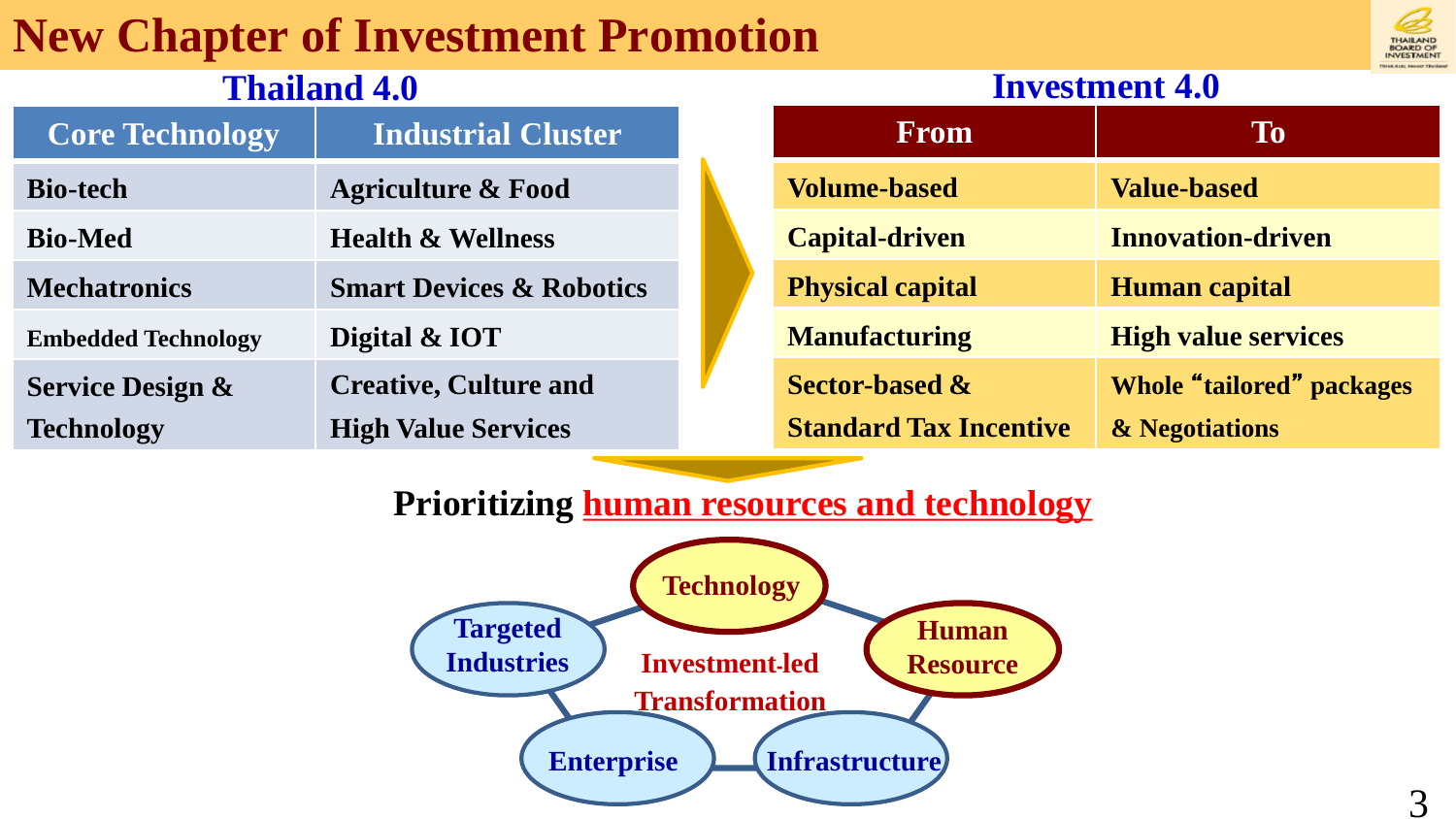#### **New Chapter of Investment Promotion**

#### **Thailand 4.0**

| <b>Core Technology</b>      | <b>Industrial Cluster</b>           |
|-----------------------------|-------------------------------------|
| <b>Bio-tech</b>             | <b>Agriculture &amp; Food</b>       |
| <b>Bio-Med</b>              | <b>Health &amp; Wellness</b>        |
| <b>Mechatronics</b>         | <b>Smart Devices &amp; Robotics</b> |
| <b>Embedded Technology</b>  | Digital & IOT                       |
| <b>Service Design &amp;</b> | <b>Creative, Culture and</b>        |
| Technology                  | <b>High Value Services</b>          |

#### **From To Volume-based Value-based Capital-driven Innovation-driven Physical capital Human capital Manufacturing High value services Sector-based & Standard Tax Incentive Whole** "**tailored**" **packages & Negotiations**

#### **Prioritizing human resources and technology**





#### **Investment 4.0**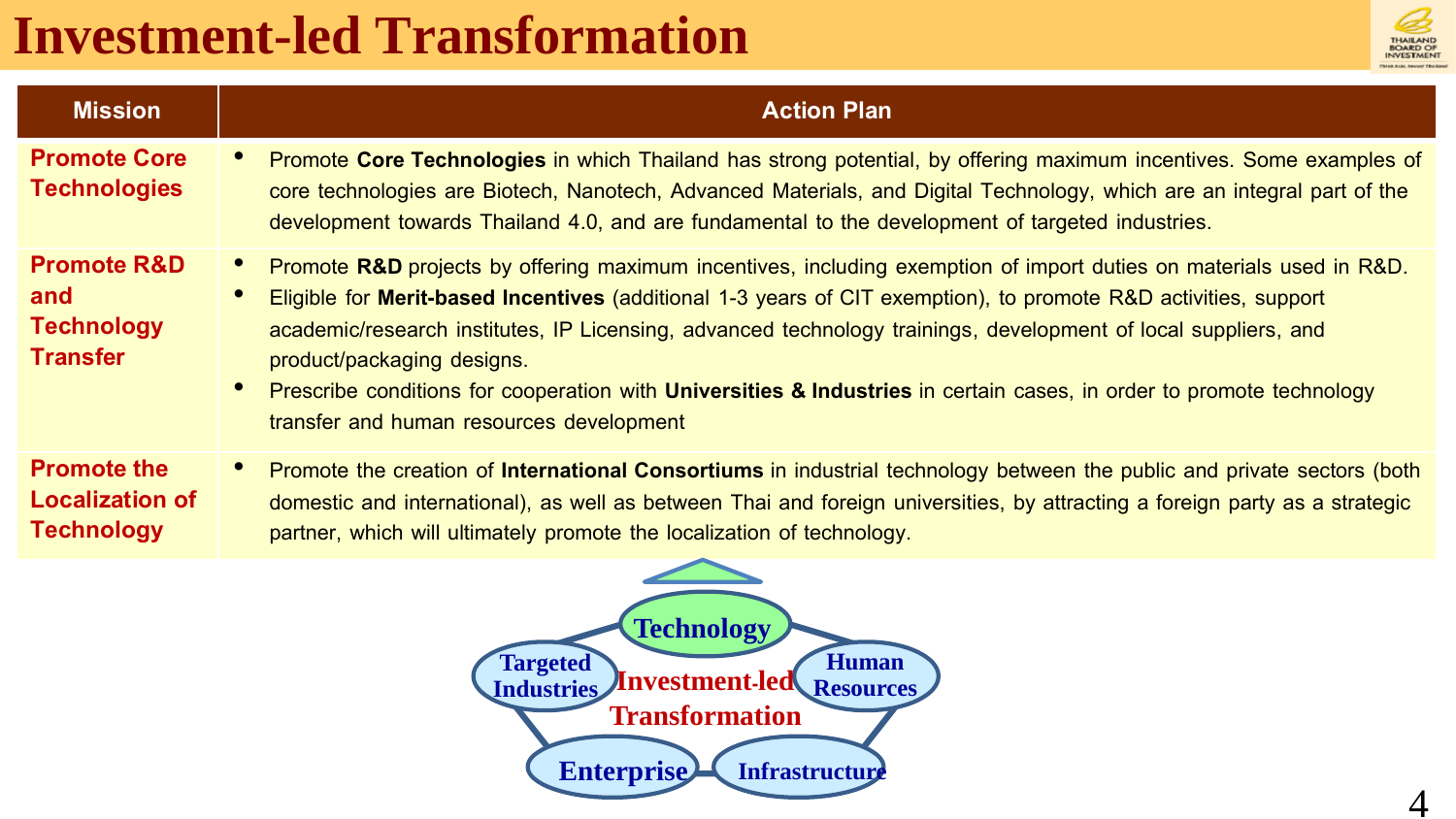## **Investment-led Transformation**



| <b>Promote Core</b><br><b>Technologies</b>                                     | Promote Core Technologies in which Thailand has strong potential, by offering maximum incentives. Some examples of<br>core technologies are Biotech, Nanotech, Advanced Materials, and Digital Technology, which are an integral part of the                                                                                                                                                                                                                                                                                                               |
|--------------------------------------------------------------------------------|------------------------------------------------------------------------------------------------------------------------------------------------------------------------------------------------------------------------------------------------------------------------------------------------------------------------------------------------------------------------------------------------------------------------------------------------------------------------------------------------------------------------------------------------------------|
|                                                                                | development towards Thailand 4.0, and are fundamental to the development of targeted industries.                                                                                                                                                                                                                                                                                                                                                                                                                                                           |
| <b>Promote R&amp;D</b><br>and<br><b>Technology</b><br><b>Transfer</b>          | Promote R&D projects by offering maximum incentives, including exemption of import duties on materials used in R&D.<br>Eligible for Merit-based Incentives (additional 1-3 years of CIT exemption), to promote R&D activities, support<br>academic/research institutes, IP Licensing, advanced technology trainings, development of local suppliers, and<br>product/packaging designs.<br>Prescribe conditions for cooperation with Universities & Industries in certain cases, in order to promote technology<br>transfer and human resources development |
| <b>Promote the</b><br>$\bullet$<br><b>Localization of</b><br><b>Technology</b> | Promote the creation of International Consortiums in industrial technology between the public and private sectors (both<br>domestic and international), as well as between Thai and foreign universities, by attracting a foreign party as a strategic<br>partner, which will ultimately promote the localization of technology.                                                                                                                                                                                                                           |

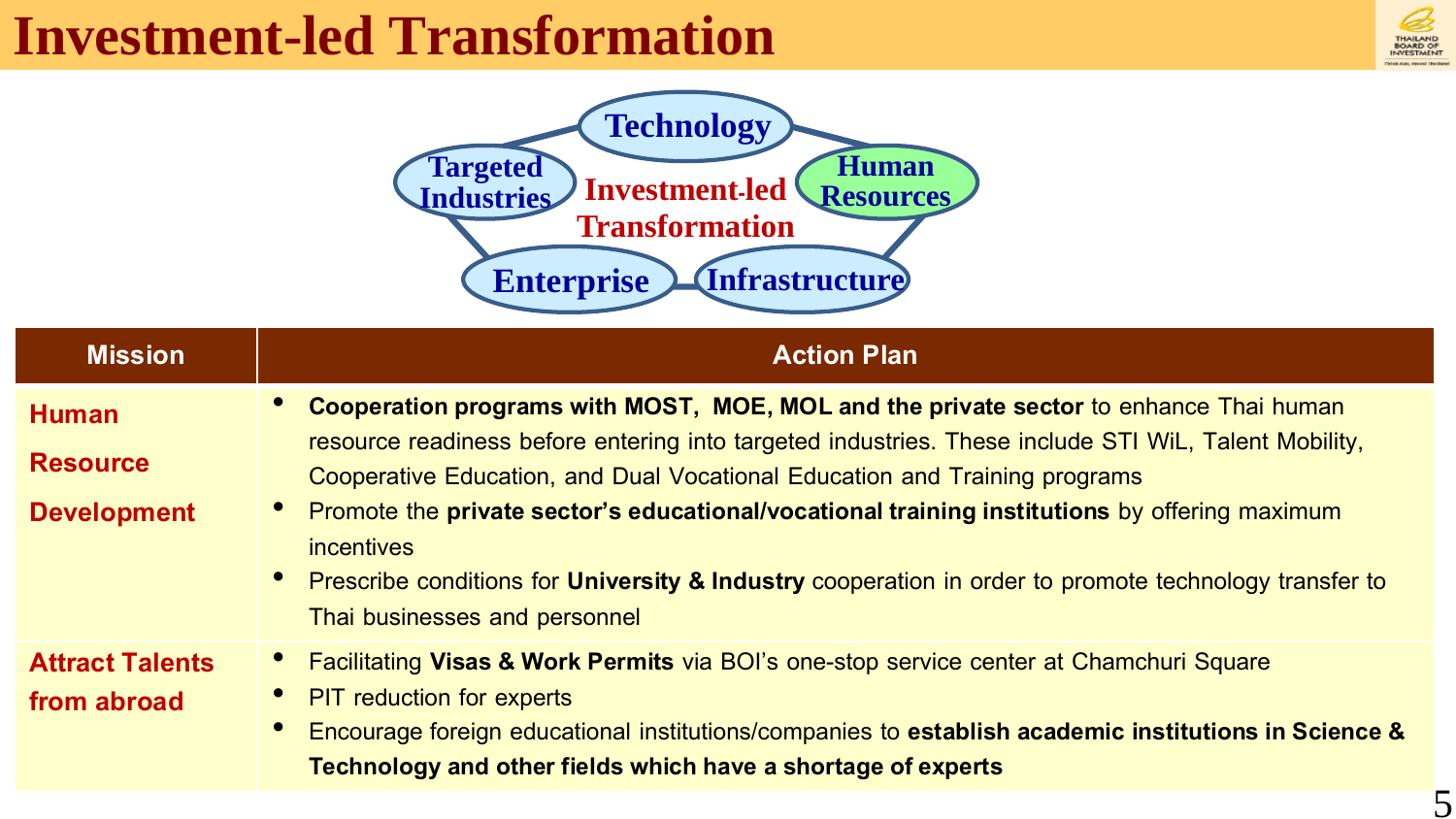## **Investment-led Transformation**



5



| <b>Mission</b>                                        | <b>Action Plan</b>                                                                                                                                                                                                                                                                                                                                                                                                                                                                                                                     |
|-------------------------------------------------------|----------------------------------------------------------------------------------------------------------------------------------------------------------------------------------------------------------------------------------------------------------------------------------------------------------------------------------------------------------------------------------------------------------------------------------------------------------------------------------------------------------------------------------------|
| <b>Human</b><br><b>Resource</b><br><b>Development</b> | Cooperation programs with MOST, MOE, MOL and the private sector to enhance Thai human<br>resource readiness before entering into targeted industries. These include STI WiL, Talent Mobility,<br>Cooperative Education, and Dual Vocational Education and Training programs<br>Promote the private sector's educational/vocational training institutions by offering maximum<br>incentives<br>• Prescribe conditions for University & Industry cooperation in order to promote technology transfer to<br>Thai businesses and personnel |
| <b>Attract Talents</b><br>from abroad                 | Facilitating Visas & Work Permits via BOI's one-stop service center at Chamchuri Square<br><b>PIT</b> reduction for experts<br>Encourage foreign educational institutions/companies to establish academic institutions in Science &<br>Technology and other fields which have a shortage of experts                                                                                                                                                                                                                                    |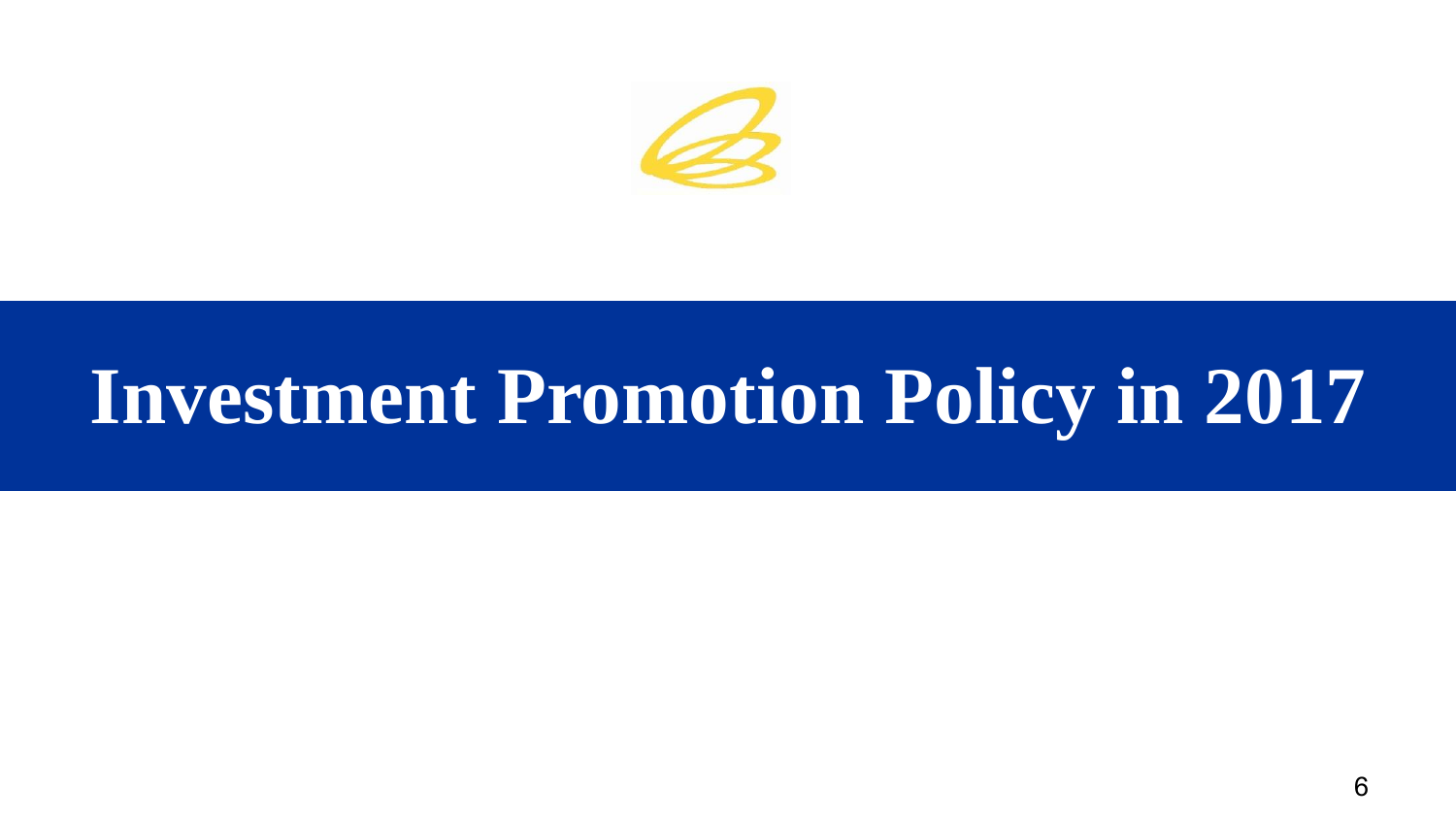

# **Investment Promotion Policy in 2017**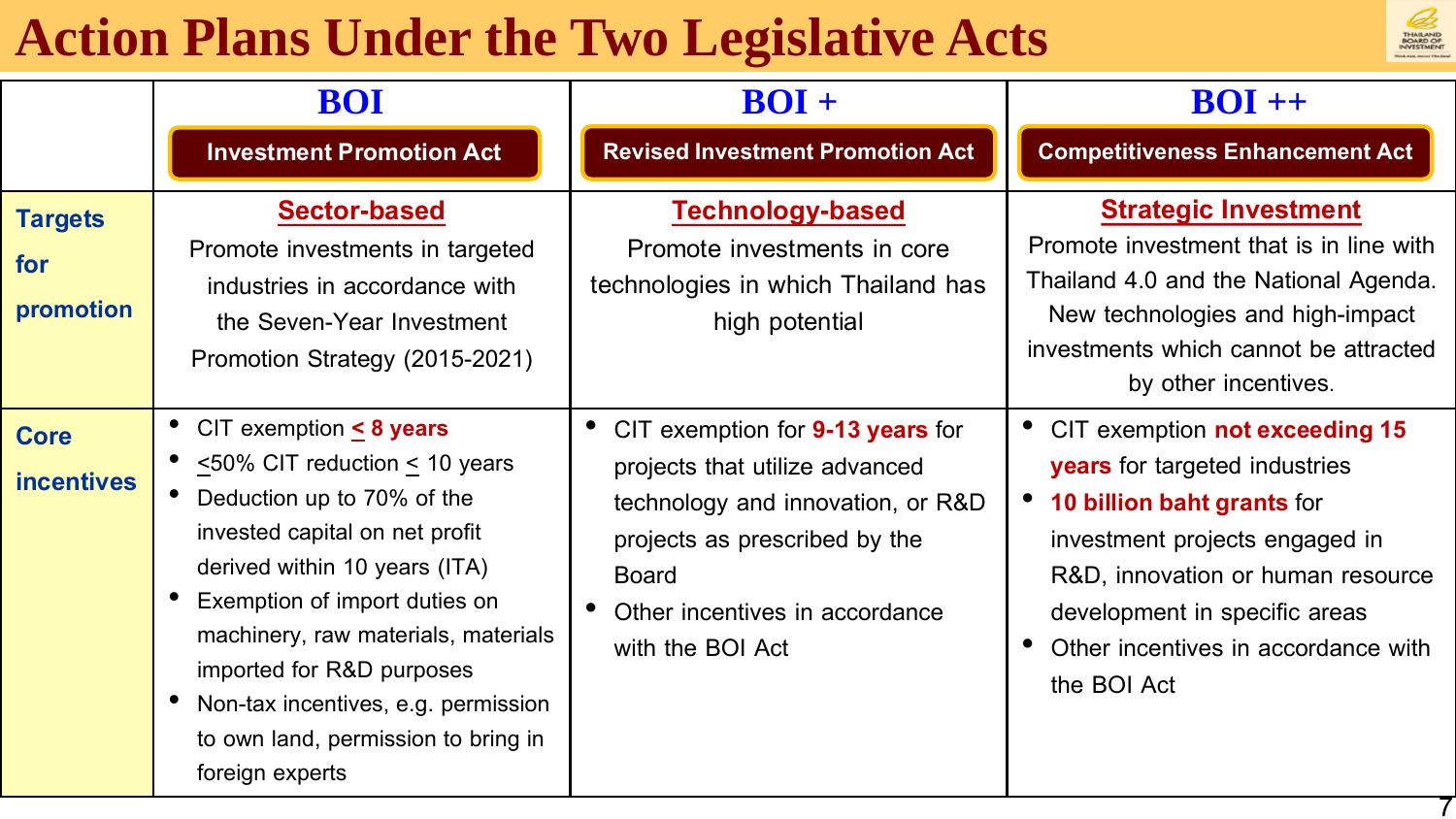## **Action Plans Under the Two Legislative Acts**



|                                    | <b>BOI</b>                                                                                                                                                                                                                                                                                                                                                                      | $BOI +$                                                                                                                                                                                                        | $BOI ++$                                                                                                                                                                                                                                                                  |
|------------------------------------|---------------------------------------------------------------------------------------------------------------------------------------------------------------------------------------------------------------------------------------------------------------------------------------------------------------------------------------------------------------------------------|----------------------------------------------------------------------------------------------------------------------------------------------------------------------------------------------------------------|---------------------------------------------------------------------------------------------------------------------------------------------------------------------------------------------------------------------------------------------------------------------------|
|                                    | <b>Investment Promotion Act</b>                                                                                                                                                                                                                                                                                                                                                 | <b>Revised Investment Promotion Act</b>                                                                                                                                                                        | <b>Competitiveness Enhancement Act</b>                                                                                                                                                                                                                                    |
| <b>Targets</b><br>for<br>promotion | <b>Sector-based</b><br>Promote investments in targeted<br>industries in accordance with<br>the Seven-Year Investment<br>Promotion Strategy (2015-2021)                                                                                                                                                                                                                          | <b>Technology-based</b><br>Promote investments in core<br>technologies in which Thailand has<br>high potential                                                                                                 | <b>Strategic Investment</b><br>Promote investment that is in line with<br>Thailand 4.0 and the National Agenda.<br>New technologies and high-impact<br>investments which cannot be attracted<br>by other incentives.                                                      |
| <b>Core</b><br><b>incentives</b>   | CIT exemption $\leq 8$ years<br>$\leq$ 50% CIT reduction $\leq$ 10 years<br>Deduction up to 70% of the<br>invested capital on net profit<br>derived within 10 years (ITA)<br>Exemption of import duties on<br>machinery, raw materials, materials<br>imported for R&D purposes<br>Non-tax incentives, e.g. permission<br>to own land, permission to bring in<br>foreign experts | CIT exemption for 9-13 years for<br>projects that utilize advanced<br>technology and innovation, or R&D<br>projects as prescribed by the<br><b>Board</b><br>Other incentives in accordance<br>with the BOI Act | CIT exemption not exceeding 15<br><b>years</b> for targeted industries<br><b>10 billion baht grants for</b><br>investment projects engaged in<br>R&D, innovation or human resource<br>development in specific areas<br>Other incentives in accordance with<br>the BOI Act |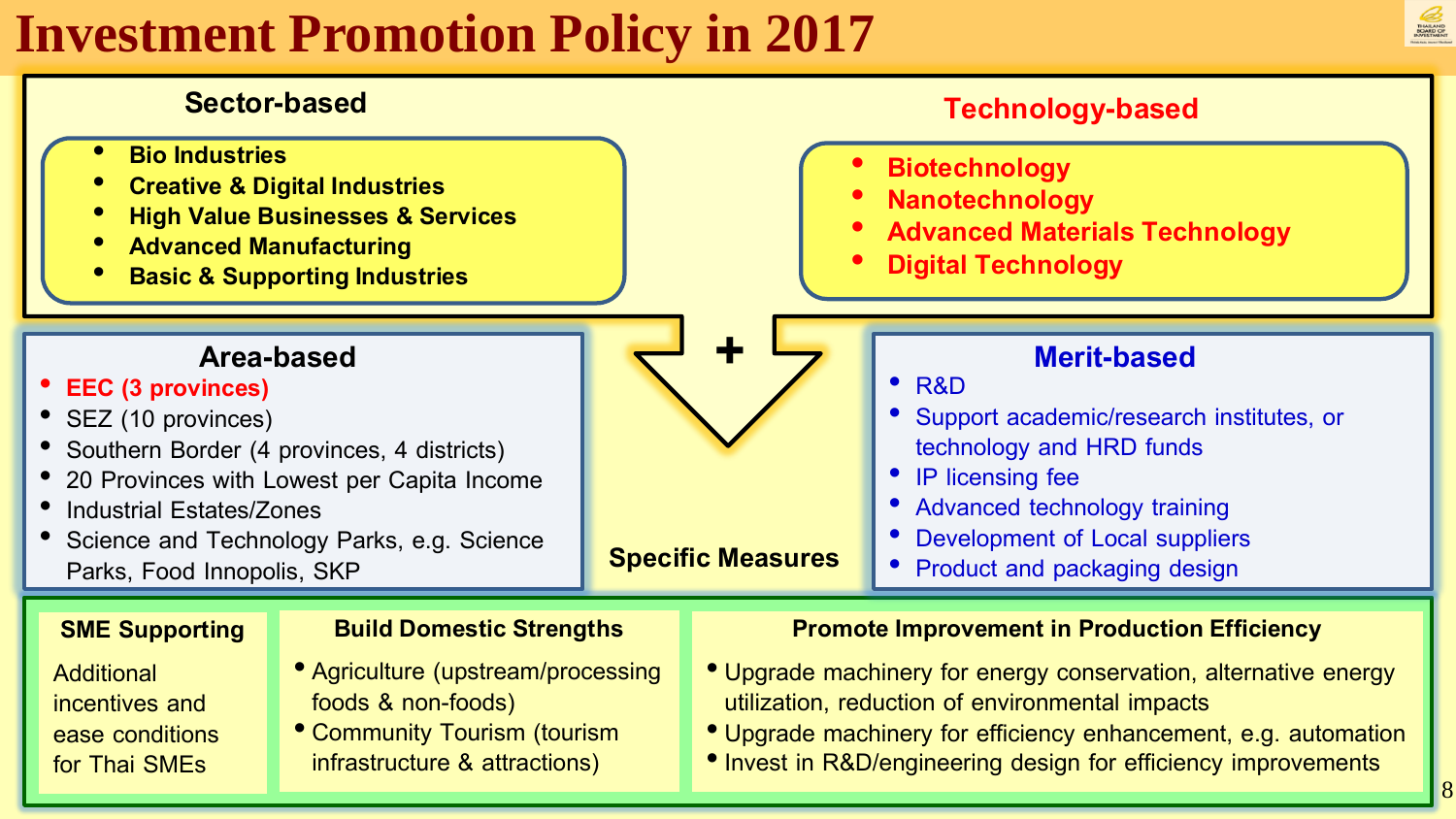## **Investment Promotion Policy in 2017**





- incentives and ease conditions for Thai SMEs
- foods & non-foods)
- Community Tourism (tourism infrastructure & attractions)
- utilization, reduction of environmental impacts
- Upgrade machinery for efficiency enhancement, e.g. automation
- Invest in R&D/engineering design for efficiency improvements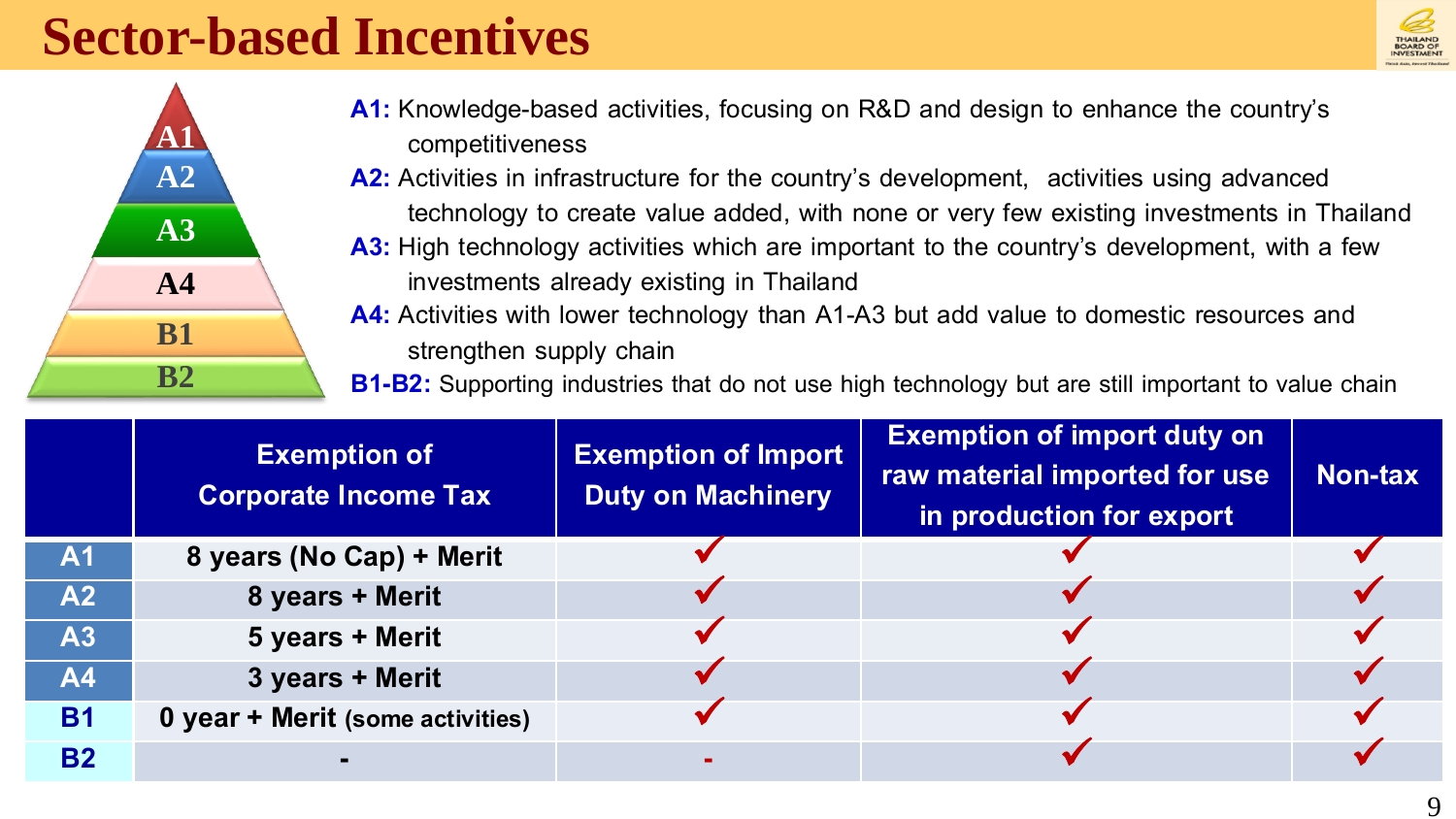#### **Sector-based Incentives**





- **A1:** Knowledge-based activities, focusing on R&D and design to enhance the country's competitiveness
- A2: Activities in infrastructure for the country's development, activities using advanced technology to create value added, with none or very few existing investments in Thailand
- **A3:** High technology activities which are important to the country's development, with a few investments already existing in Thailand
- **A4:** Activities with lower technology than A1-A3 but add value to domestic resources and strengthen supply chain
- **B1-B2:** Supporting industries that do not use high technology but are still important to value chain

|           | <b>Exemption of</b><br><b>Corporate Income Tax</b> | <b>Exemption of Import</b><br><b>Duty on Machinery</b> | <b>Exemption of import duty on</b><br>raw material imported for use<br>in production for export | Non-tax |
|-----------|----------------------------------------------------|--------------------------------------------------------|-------------------------------------------------------------------------------------------------|---------|
| A1        | 8 years (No Cap) + Merit                           |                                                        |                                                                                                 |         |
| A2        | 8 years + Merit                                    |                                                        |                                                                                                 |         |
| A3        | 5 years + Merit                                    |                                                        |                                                                                                 |         |
| <b>A4</b> | 3 years + Merit                                    |                                                        |                                                                                                 |         |
| <b>B1</b> | 0 year + Merit (some activities)                   |                                                        |                                                                                                 |         |
| <b>B2</b> |                                                    |                                                        |                                                                                                 |         |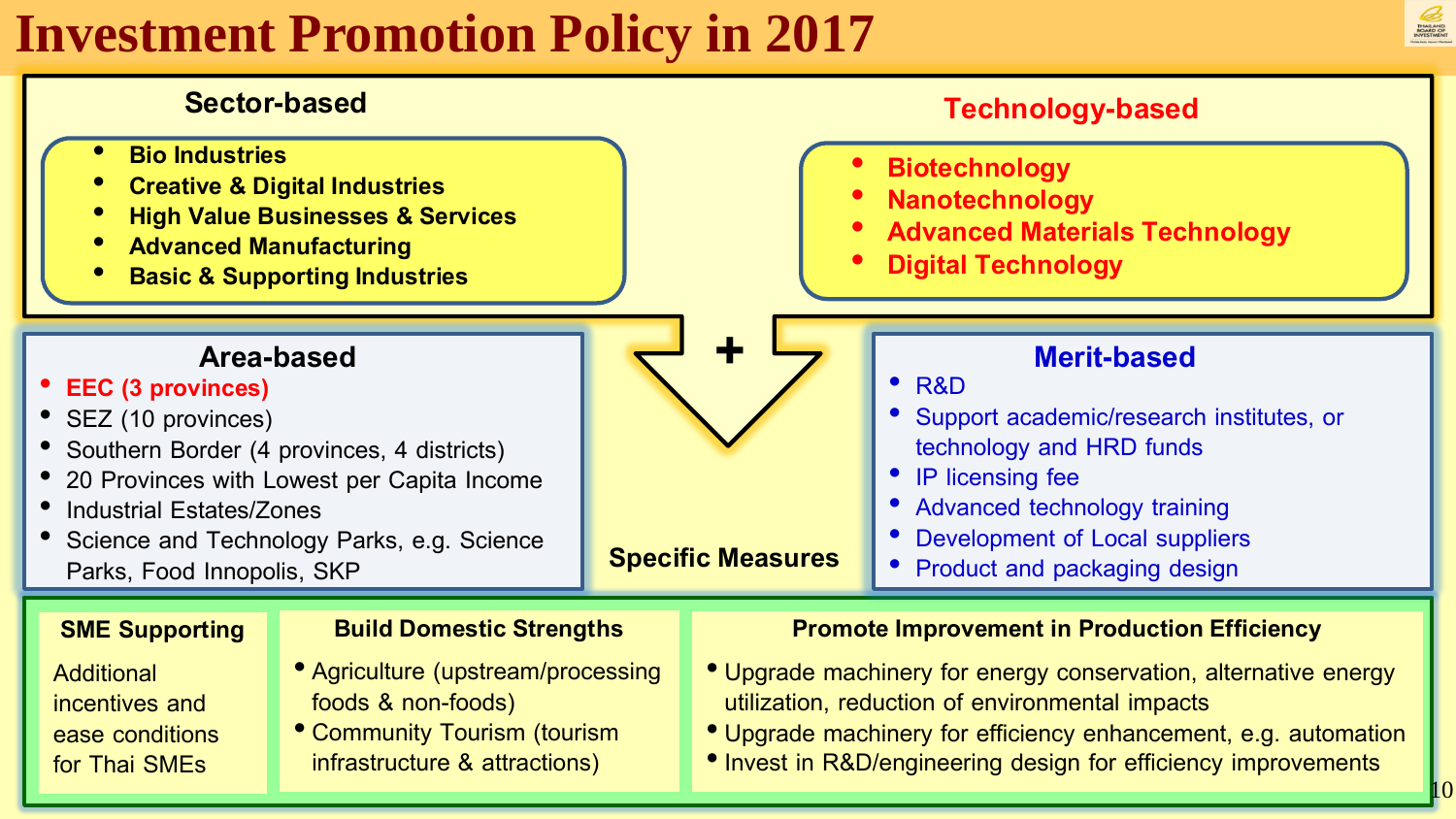## **Investment Promotion Policy in 2017**





- **Additional** incentives and ease conditions for Thai SMEs
- foods & non-foods)
- Community Tourism (tourism infrastructure & attractions)
- utilization, reduction of environmental impacts
- Upgrade machinery for efficiency enhancement, e.g. automation
- Invest in R&D/engineering design for efficiency improvements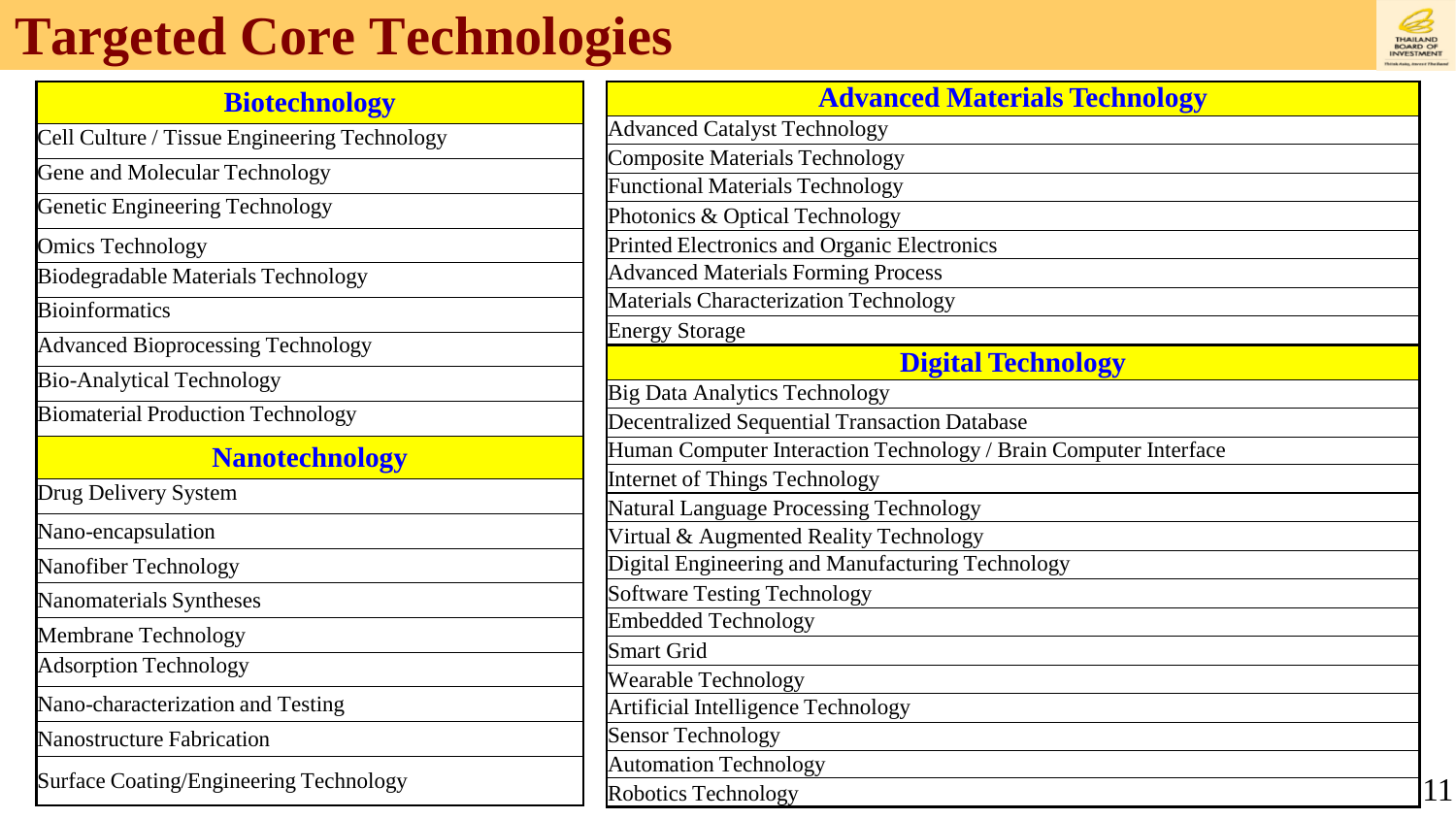## **Targeted Core Technologies**

| <b>THAILAND</b><br><b>BOARD OF</b><br><b>INVESTMENT</b> |
|---------------------------------------------------------|
|                                                         |

| <b>Biotechnology</b>                         |                                                                        |
|----------------------------------------------|------------------------------------------------------------------------|
| Cell Culture / Tissue Engineering Technology | Advanced                                                               |
| Gene and Molecular Technology                | Composite                                                              |
|                                              | Functional                                                             |
| <b>Genetic Engineering Technology</b>        | Photonics                                                              |
| <b>Omics Technology</b>                      | <b>Printed Ele</b>                                                     |
| <b>Biodegradable Materials Technology</b>    | Advanced                                                               |
| <b>Bioinformatics</b>                        | Materials (                                                            |
| <b>Advanced Bioprocessing Technology</b>     | <b>Energy Sto</b>                                                      |
| <b>Bio-Analytical Technology</b>             | Big Data A                                                             |
| <b>Biomaterial Production Technology</b>     | Decentraliz                                                            |
| <b>Nanotechnology</b>                        | Human Co                                                               |
| Drug Delivery System                         | Internet of                                                            |
| Nano-encapsulation                           | Natural La<br>Virtual &                                                |
| Nanofiber Technology                         | Digital Eng                                                            |
| Nanomaterials Syntheses                      | Software T                                                             |
| Membrane Technology                          | Embedded                                                               |
|                                              | <b>Smart Grid</b>                                                      |
| <b>Adsorption Technology</b>                 | Wearable 7                                                             |
| Nano-characterization and Testing            | Artificial I <sub>1</sub>                                              |
| <b>Nanostructure Fabrication</b>             | <b>Sensor Tec</b>                                                      |
|                                              | <b>Automatio</b>                                                       |
| Surface Coating/Engineering Technology       | $\mathbf{D}_{\mathbf{a}}$ $\mathbf{b}_{\mathbf{a}}$ tiggs $\mathbf{T}$ |

| <b>Advanced Materials Technology</b>                             |  |
|------------------------------------------------------------------|--|
| <b>Advanced Catalyst Technology</b>                              |  |
| <b>Composite Materials Technology</b>                            |  |
| <b>Functional Materials Technology</b>                           |  |
| Photonics & Optical Technology                                   |  |
| Printed Electronics and Organic Electronics                      |  |
| <b>Advanced Materials Forming Process</b>                        |  |
| Materials Characterization Technology                            |  |
| <b>Energy Storage</b>                                            |  |
| <b>Digital Technology</b>                                        |  |
| <b>Big Data Analytics Technology</b>                             |  |
| <b>Decentralized Sequential Transaction Database</b>             |  |
| Human Computer Interaction Technology / Brain Computer Interface |  |
| <b>Internet of Things Technology</b>                             |  |
| <b>Natural Language Processing Technology</b>                    |  |
| Virtual & Augmented Reality Technology                           |  |
| Digital Engineering and Manufacturing Technology                 |  |
| <b>Software Testing Technology</b>                               |  |
| <b>Embedded Technology</b>                                       |  |
| <b>Smart Grid</b>                                                |  |
| Wearable Technology                                              |  |
| Artificial Intelligence Technology                               |  |
| <b>Sensor Technology</b>                                         |  |
| <b>Automation Technology</b>                                     |  |
| Robotics Technology                                              |  |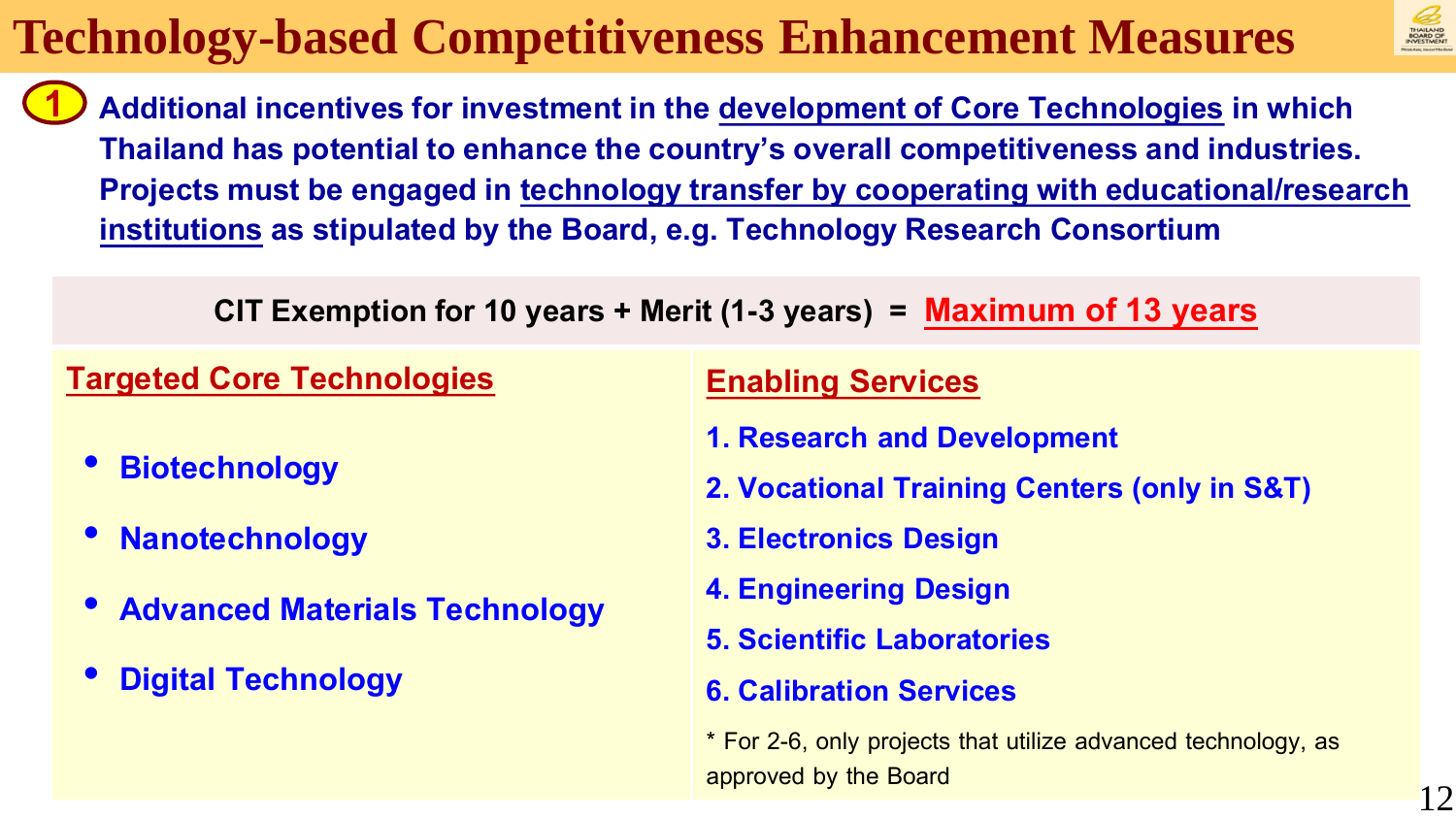

Additional incentives for investment in the development of Core Technologies in which **Thailand has potential to enhance the country's overall competitiveness and industries. Projects must be engaged in technology transfer by cooperating with educational/research institutions as stipulated by the Board, e.g. Technology Research Consortium 1**

**CIT Exemption for 10years+ Merit (1-3 years) = Maximum of 13 years**

#### **Targeted Core Technologies Enabling Services**

- **Biotechnology**
- **Nanotechnology**
- **Advanced Materials Technology**
- **Digital Technology**

- **1. Research and Development**
- **2. Vocational Training Centers (only in S&T)**
- **3. Electronics Design**
- **4. Engineering Design**
- **5. Scientific Laboratories**
- **6. Calibration Services**

\* For 2-6, only projects that utilize advanced technology, as approved by the Board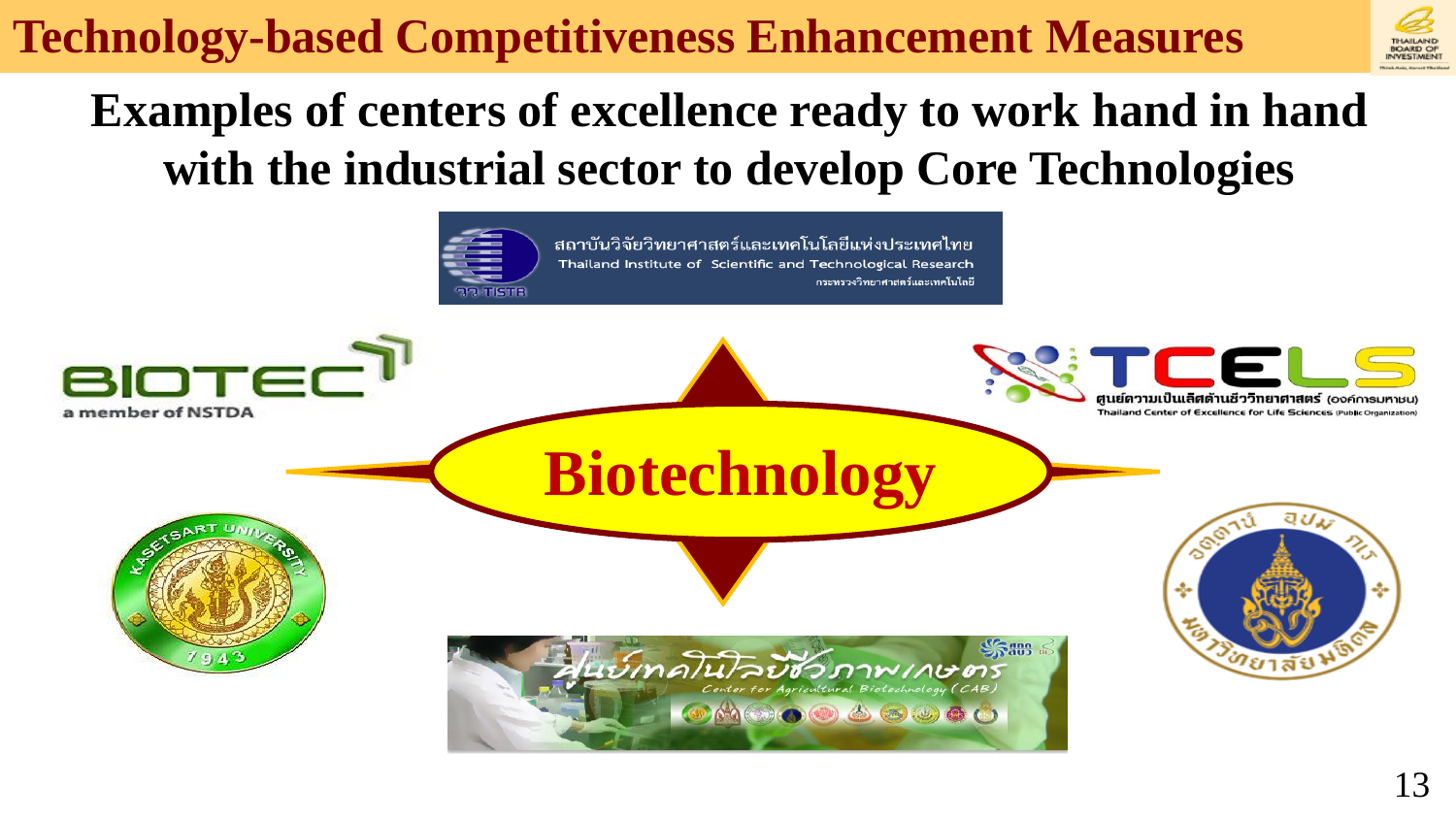

### **Examples of centers of excellence ready to work hand in hand with the industrial sector to develop Core Technologies**

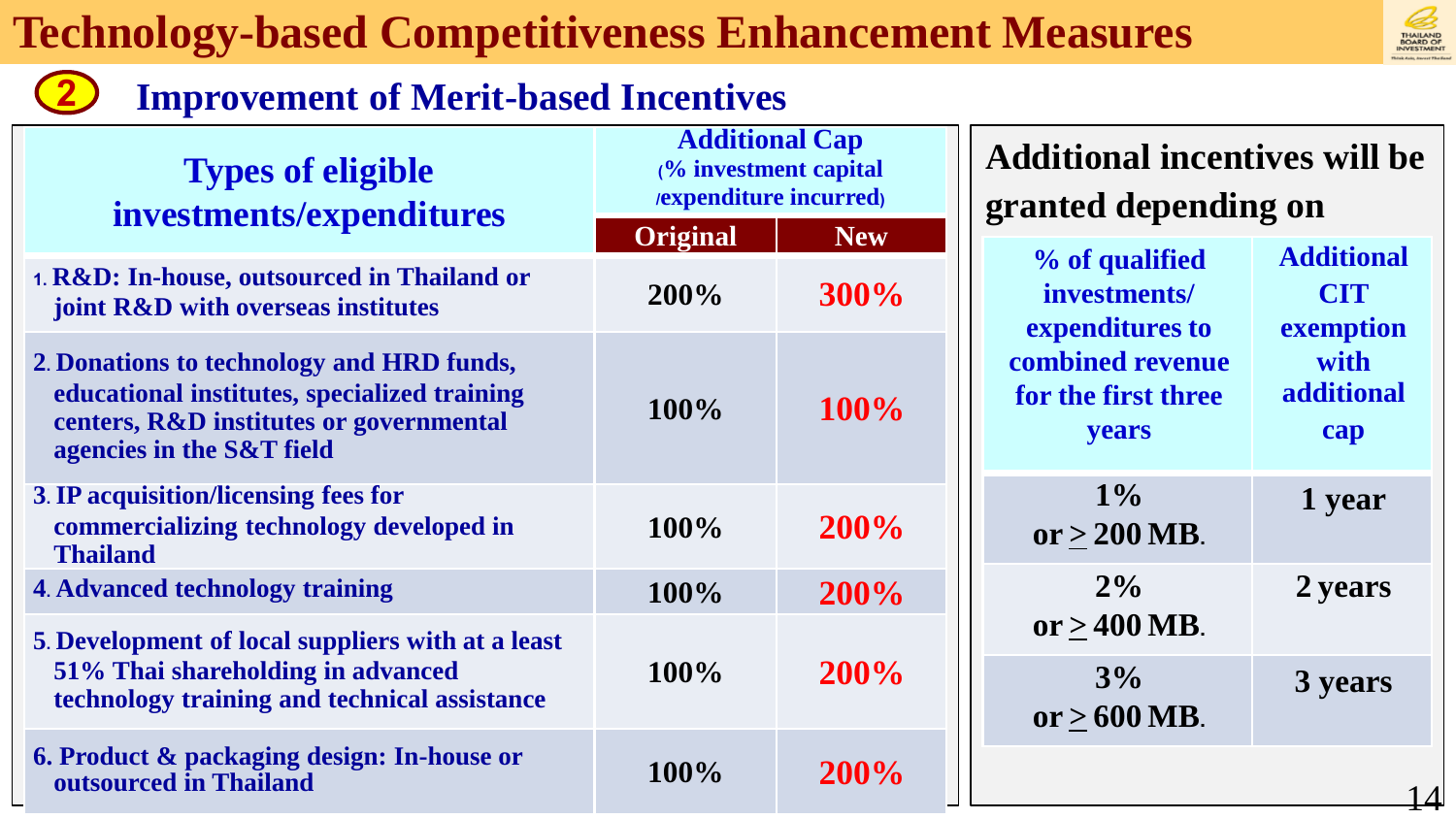

#### **Improvement of Merit-based Incentives**

**Types of eligible investments/expenditures**

- **1. R&D: In-house, outsourced in Thailand or**  *joint R&D with overseas institutes*
- **2. Donations to technology and HRD funds, educational institutes, specialized training centers, R&D institutes or governmental agencies in the S&T field**
- **3. IP acquisition/licensing fees for commercializing technology developed in Thailand**
- **4. Advanced technology training 100% 200%**

**2**

- **5. Development of local suppliers with at a least 51% Thai shareholding in advanced technology training and technical assistance**
- **6. Product & packaging design: In-house or outsourced in Thailand 100% 200%**

|  | <b>Additional Cap</b><br>(% investment capital<br>/expenditure incurred) |             |
|--|--------------------------------------------------------------------------|-------------|
|  | <b>Original</b>                                                          | <b>New</b>  |
|  | 200%                                                                     | 300%        |
|  | 100%                                                                     | 100%        |
|  | 100%                                                                     | 200%        |
|  | 100%                                                                     | 200%        |
|  | 100%                                                                     | 200%        |
|  | <b>100%</b>                                                              | <b>200%</b> |

#### **Additional incentives will be granted depending on**

| % of qualified<br>investments/<br>expenditures to<br>combined revenue<br>for the first three<br>years | <b>Additional</b><br><b>CIT</b><br>exemption<br>with<br>additional<br>cap |
|-------------------------------------------------------------------------------------------------------|---------------------------------------------------------------------------|
| $1\%$<br>or $>$ 200 MB.                                                                               | 1 year                                                                    |
| 2%<br>or $>400$ MB.                                                                                   | 2 years                                                                   |
| 3%<br>or $>600$ MB.                                                                                   | 3 years                                                                   |
|                                                                                                       |                                                                           |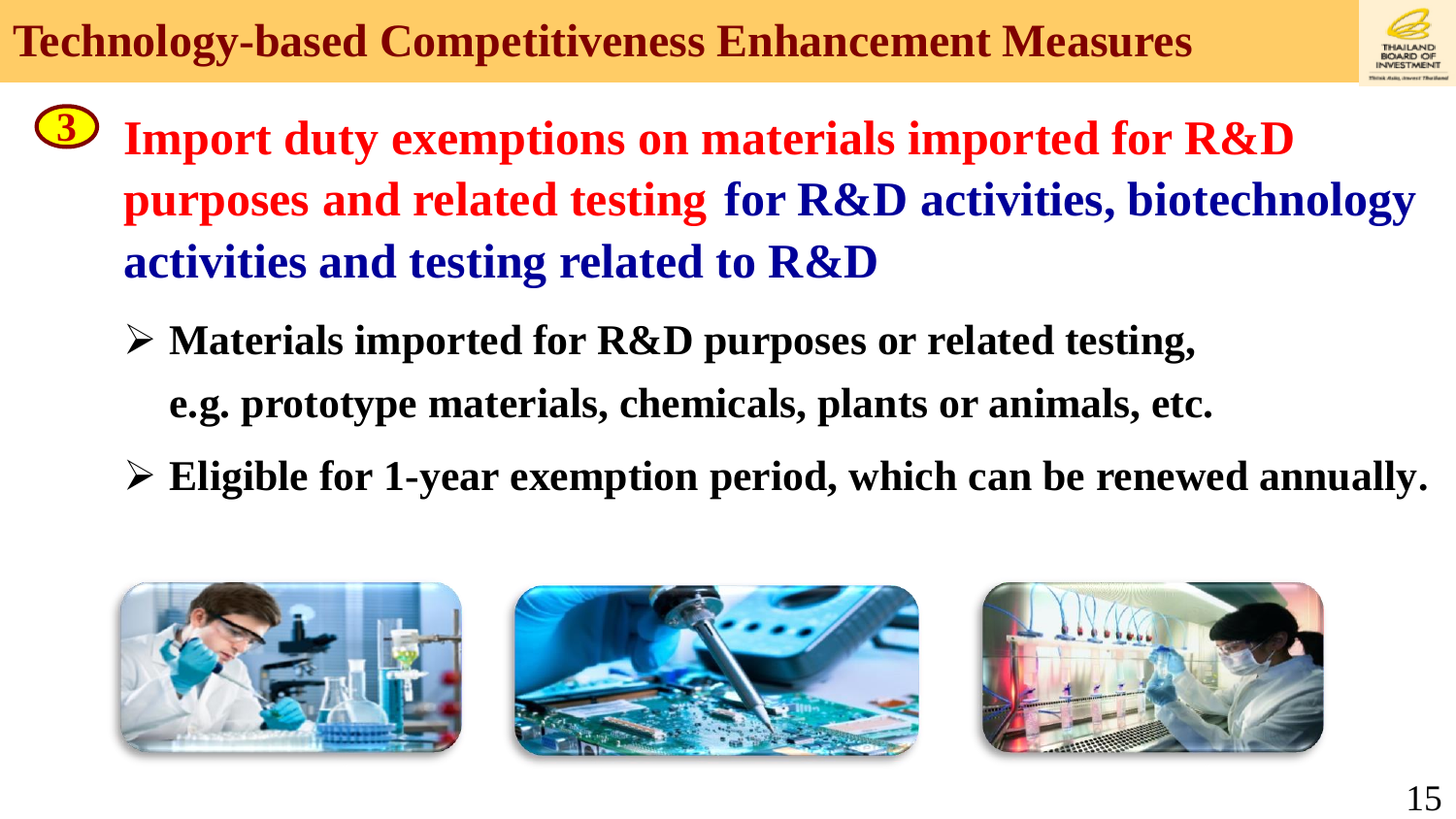

- **Import duty exemptions on materials imported for R&D purposes and related testing for R&D activities, biotechnology activities and testing related to R&D 3**
	- **Materials imported for R&D purposes or related testing, e.g. prototype materials, chemicals, plants or animals, etc.**
	- **Eligible for 1-year exemption period, which can be renewed annually.**





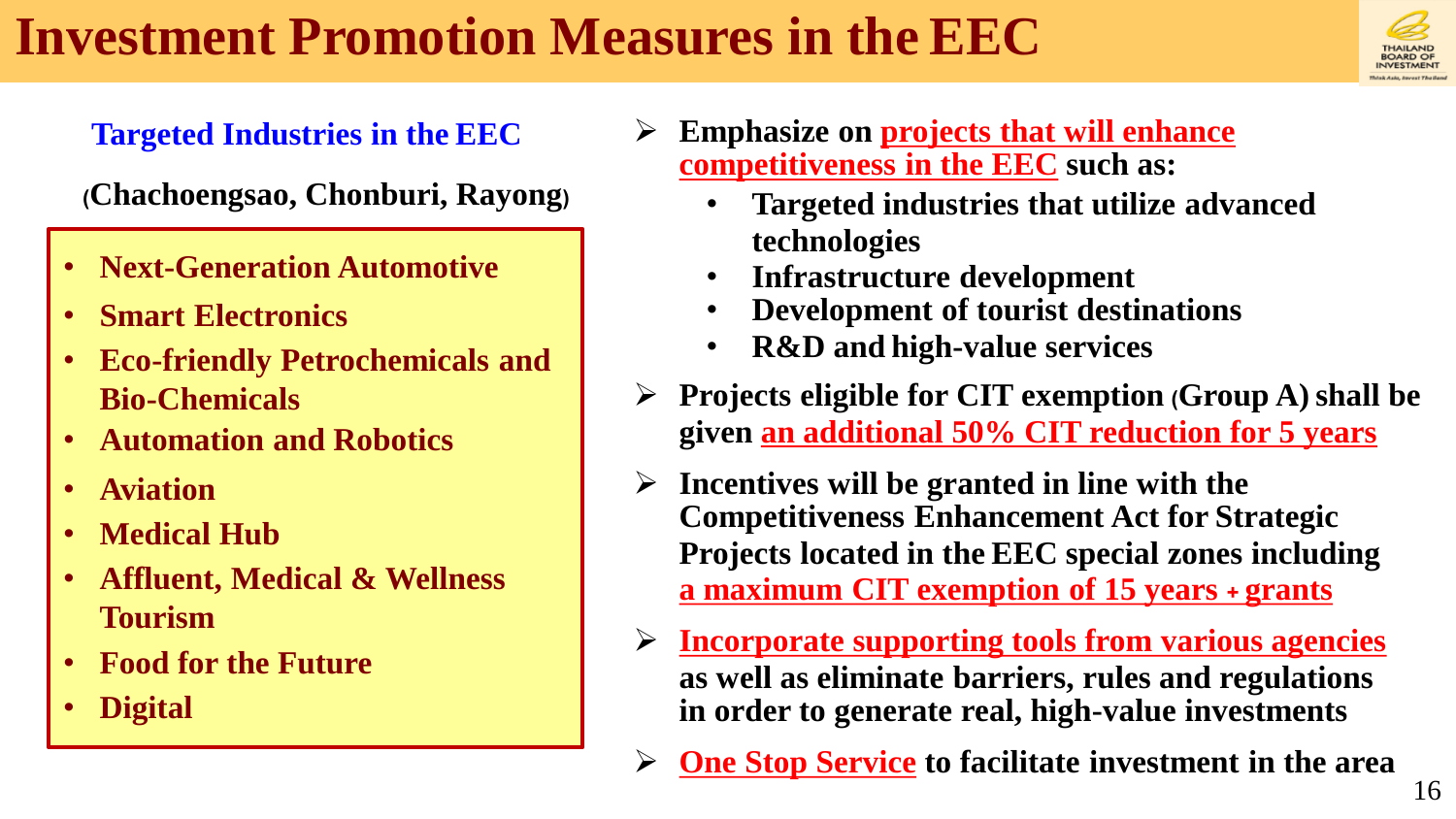## **Investment Promotion Measures in the EEC**



**(Chachoengsao, Chonburi, Rayong)**

- **Next-Generation Automotive**
- **Smart Electronics**
- **Eco-friendly Petrochemicals and Bio-Chemicals**
- **Automation and Robotics**
- **Aviation**
- **Medical Hub**
- **Affluent, Medical & Wellness Tourism**
- **Food for the Future**
- **Digital**
- **Targeted Industries in the EEC**  $\rightarrow$  Emphasize on projects that will enhance **competitiveness in the EEC such as:**
	- **Targeted industries that utilize advanced technologies**
	- **Infrastructure development**
	- **Development of tourist destinations**
	- **R&D and high-value services**
	- **Projects eligible for CIT exemption (Group A)shall be given an additional 50% CIT reduction for 5 years**
	- **Incentives will be granted in line with the Competitiveness Enhancement Act for Strategic Projects located in the EEC special zones including a maximum CIT exemption of 15 years + grants**
	- **Incorporate supporting tools from various agencies as well as eliminate barriers, rules and regulations in order to generate real, high-value investments**
	- **One Stop Service to facilitate investment in the area**